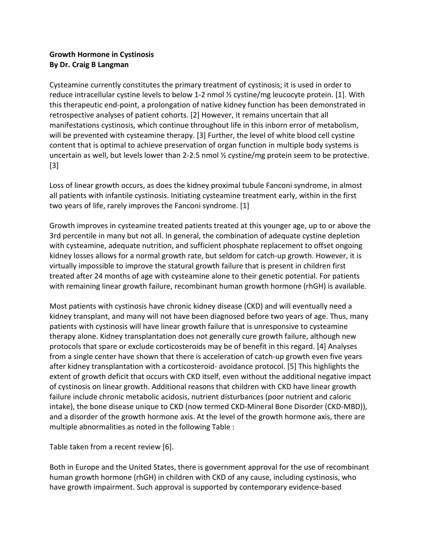## **Growth Hormone in Cystinosis By Dr. Craig B Langman**

Cysteamine currently constitutes the primary treatment of cystinosis; it is used in order to reduce intracellular cystine levels to below 1-2 nmol ½ cystine/mg leucocyte protein. [1]. With this therapeutic end-point, a prolongation of native kidney function has been demonstrated in retrospective analyses of patient cohorts. [2] However, it remains uncertain that all manifestations cystinosis, which continue throughout life in this inborn error of metabolism, will be prevented with cysteamine therapy. [3] Further, the level of white blood cell cystine content that is optimal to achieve preservation of organ function in multiple body systems is uncertain as well, but levels lower than 2-2.5 nmol ½ cystine/mg protein seem to be protective. [3]

Loss of linear growth occurs, as does the kidney proximal tubule Fanconi syndrome, in almost all patients with infantile cystinosis. Initiating cysteamine treatment early, within in the first two years of life, rarely improves the Fanconi syndrome. [1]

Growth improves in cysteamine treated patients treated at this younger age, up to or above the 3rd percentile in many but not all. In general, the combination of adequate cystine depletion with cysteamine, adequate nutrition, and sufficient phosphate replacement to offset ongoing kidney losses allows for a normal growth rate, but seldom for catch-up growth. However, it is virtually impossible to improve the statural growth failure that is present in children first treated after 24 months of age with cysteamine alone to their genetic potential. For patients with remaining linear growth failure, recombinant human growth hormone (rhGH) is available.

Most patients with cystinosis have chronic kidney disease (CKD) and will eventually need a kidney transplant, and many will not have been diagnosed before two years of age. Thus, many patients with cystinosis will have linear growth failure that is unresponsive to cysteamine therapy alone. Kidney transplantation does not generally cure growth failure, although new protocols that spare or exclude corticosteroids may be of benefit in this regard. [4] Analyses from a single center have shown that there is acceleration of catch-up growth even five years after kidney transplantation with a corticosteroid- avoidance protocol. [5] This highlights the extent of growth deficit that occurs with CKD itself, even without the additional negative impact of cystinosis on linear growth. Additional reasons that children with CKD have linear growth failure include chronic metabolic acidosis, nutrient disturbances (poor nutrient and caloric intake), the bone disease unique to CKD (now termed CKD-Mineral Bone Disorder (CKD-MBD)), and a disorder of the growth hormone axis. At the level of the growth hormone axis, there are multiple abnormalities as noted in the following Table :

Table taken from a recent review [6].

Both in Europe and the United States, there is government approval for the use of recombinant human growth hormone (rhGH) in children with CKD of any cause, including cystinosis, who have growth impairment. Such approval is supported by contemporary evidence-based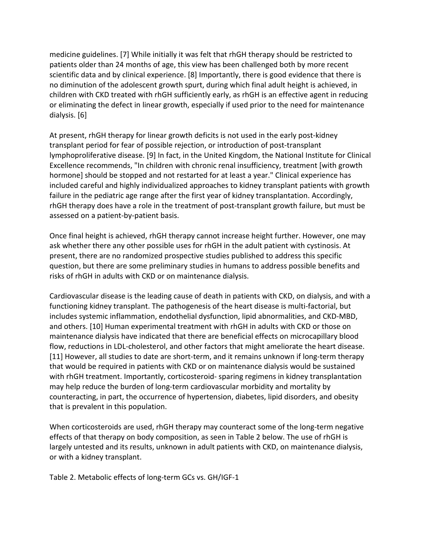medicine guidelines. [7] While initially it was felt that rhGH therapy should be restricted to patients older than 24 months of age, this view has been challenged both by more recent scientific data and by clinical experience. [8] Importantly, there is good evidence that there is no diminution of the adolescent growth spurt, during which final adult height is achieved, in children with CKD treated with rhGH sufficiently early, as rhGH is an effective agent in reducing or eliminating the defect in linear growth, especially if used prior to the need for maintenance dialysis. [6]

At present, rhGH therapy for linear growth deficits is not used in the early post-kidney transplant period for fear of possible rejection, or introduction of post-transplant lymphoproliferative disease. [9] In fact, in the United Kingdom, the National Institute for Clinical Excellence recommends, "In children with chronic renal insufficiency, treatment [with growth hormone] should be stopped and not restarted for at least a year." Clinical experience has included careful and highly individualized approaches to kidney transplant patients with growth failure in the pediatric age range after the first year of kidney transplantation. Accordingly, rhGH therapy does have a role in the treatment of post-transplant growth failure, but must be assessed on a patient-by-patient basis.

Once final height is achieved, rhGH therapy cannot increase height further. However, one may ask whether there any other possible uses for rhGH in the adult patient with cystinosis. At present, there are no randomized prospective studies published to address this specific question, but there are some preliminary studies in humans to address possible benefits and risks of rhGH in adults with CKD or on maintenance dialysis.

Cardiovascular disease is the leading cause of death in patients with CKD, on dialysis, and with a functioning kidney transplant. The pathogenesis of the heart disease is multi-factorial, but includes systemic inflammation, endothelial dysfunction, lipid abnormalities, and CKD-MBD, and others. [10] Human experimental treatment with rhGH in adults with CKD or those on maintenance dialysis have indicated that there are beneficial effects on microcapillary blood flow, reductions in LDL-cholesterol, and other factors that might ameliorate the heart disease. [11] However, all studies to date are short-term, and it remains unknown if long-term therapy that would be required in patients with CKD or on maintenance dialysis would be sustained with rhGH treatment. Importantly, corticosteroid- sparing regimens in kidney transplantation may help reduce the burden of long-term cardiovascular morbidity and mortality by counteracting, in part, the occurrence of hypertension, diabetes, lipid disorders, and obesity that is prevalent in this population.

When corticosteroids are used, rhGH therapy may counteract some of the long-term negative effects of that therapy on body composition, as seen in Table 2 below. The use of rhGH is largely untested and its results, unknown in adult patients with CKD, on maintenance dialysis, or with a kidney transplant.

Table 2. Metabolic effects of long-term GCs vs. GH/IGF-1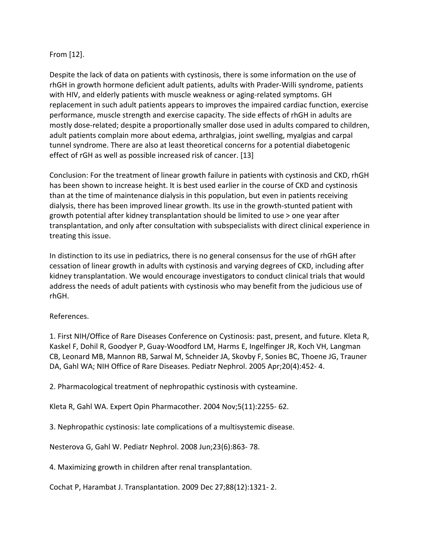## From [12].

Despite the lack of data on patients with cystinosis, there is some information on the use of rhGH in growth hormone deficient adult patients, adults with Prader-Willi syndrome, patients with HIV, and elderly patients with muscle weakness or aging-related symptoms. GH replacement in such adult patients appears to improves the impaired cardiac function, exercise performance, muscle strength and exercise capacity. The side effects of rhGH in adults are mostly dose-related; despite a proportionally smaller dose used in adults compared to children, adult patients complain more about edema, arthralgias, joint swelling, myalgias and carpal tunnel syndrome. There are also at least theoretical concerns for a potential diabetogenic effect of rGH as well as possible increased risk of cancer. [13]

Conclusion: For the treatment of linear growth failure in patients with cystinosis and CKD, rhGH has been shown to increase height. It is best used earlier in the course of CKD and cystinosis than at the time of maintenance dialysis in this population, but even in patients receiving dialysis, there has been improved linear growth. Its use in the growth-stunted patient with growth potential after kidney transplantation should be limited to use > one year after transplantation, and only after consultation with subspecialists with direct clinical experience in treating this issue.

In distinction to its use in pediatrics, there is no general consensus for the use of rhGH after cessation of linear growth in adults with cystinosis and varying degrees of CKD, including after kidney transplantation. We would encourage investigators to conduct clinical trials that would address the needs of adult patients with cystinosis who may benefit from the judicious use of rhGH.

## References.

1. First NIH/Office of Rare Diseases Conference on Cystinosis: past, present, and future. Kleta R, Kaskel F, Dohil R, Goodyer P, Guay-Woodford LM, Harms E, Ingelfinger JR, Koch VH, Langman CB, Leonard MB, Mannon RB, Sarwal M, Schneider JA, Skovby F, Sonies BC, Thoene JG, Trauner DA, Gahl WA; NIH Office of Rare Diseases. Pediatr Nephrol. 2005 Apr;20(4):452- 4.

2. Pharmacological treatment of nephropathic cystinosis with cysteamine.

Kleta R, Gahl WA. Expert Opin Pharmacother. 2004 Nov;5(11):2255- 62.

3. Nephropathic cystinosis: late complications of a multisystemic disease.

Nesterova G, Gahl W. Pediatr Nephrol. 2008 Jun;23(6):863- 78.

4. Maximizing growth in children after renal transplantation.

Cochat P, Harambat J. Transplantation. 2009 Dec 27;88(12):1321- 2.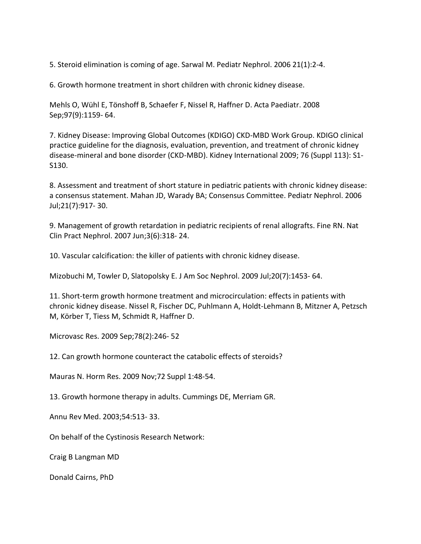5. Steroid elimination is coming of age. Sarwal M. Pediatr Nephrol. 2006 21(1):2-4.

6. Growth hormone treatment in short children with chronic kidney disease.

Mehls O, Wühl E, Tönshoff B, Schaefer F, Nissel R, Haffner D. Acta Paediatr. 2008 Sep;97(9):1159- 64.

7. Kidney Disease: Improving Global Outcomes (KDIGO) CKD-MBD Work Group. KDIGO clinical practice guideline for the diagnosis, evaluation, prevention, and treatment of chronic kidney disease-mineral and bone disorder (CKD-MBD). Kidney International 2009; 76 (Suppl 113): S1- S130.

8. Assessment and treatment of short stature in pediatric patients with chronic kidney disease: a consensus statement. Mahan JD, Warady BA; Consensus Committee. Pediatr Nephrol. 2006 Jul;21(7):917- 30.

9. Management of growth retardation in pediatric recipients of renal allografts. Fine RN. Nat Clin Pract Nephrol. 2007 Jun;3(6):318- 24.

10. Vascular calcification: the killer of patients with chronic kidney disease.

Mizobuchi M, Towler D, Slatopolsky E. J Am Soc Nephrol. 2009 Jul;20(7):1453- 64.

11. Short-term growth hormone treatment and microcirculation: effects in patients with chronic kidney disease. Nissel R, Fischer DC, Puhlmann A, Holdt-Lehmann B, Mitzner A, Petzsch M, Körber T, Tiess M, Schmidt R, Haffner D.

Microvasc Res. 2009 Sep;78(2):246- 52

12. Can growth hormone counteract the catabolic effects of steroids?

Mauras N. Horm Res. 2009 Nov;72 Suppl 1:48-54.

13. Growth hormone therapy in adults. Cummings DE, Merriam GR.

Annu Rev Med. 2003;54:513- 33.

On behalf of the Cystinosis Research Network:

Craig B Langman MD

Donald Cairns, PhD